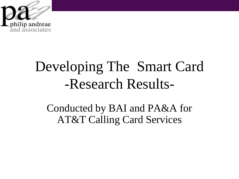

## Developing The Smart Card -Research Results-

Conducted by BAI and PA&A for AT&T Calling Card Services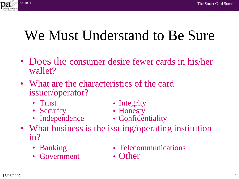

- Does the consumer desire fewer cards in his/her wallet?
- What are the characteristics of the card issuer/operator?
	-
	- Security Honesty
	-
	- Trust Integrity
		-
	- Independence Confidentiality
- What business is the issuing/operating institution in?
	-
	- Government Other
	- Banking Telecommunications
		-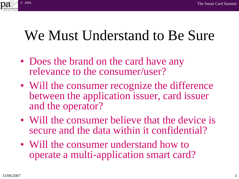

- Does the brand on the card have any relevance to the consumer/user?
- Will the consumer recognize the difference between the application issuer, card issuer and the operator?
- Will the consumer believe that the device is secure and the data within it confidential?
- Will the consumer understand how to operate a multi-application smart card?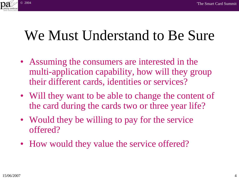

- Assuming the consumers are interested in the multi-application capability, how will they group their different cards, identities or services?
- Will they want to be able to change the content of the card during the cards two or three year life?
- Would they be willing to pay for the service offered?
- How would they value the service offered?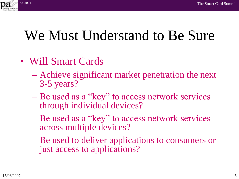

- Will Smart Cards
	- Achieve significant market penetration the next 3-5 years?
	- Be used as a "key" to access network services through individual devices?
	- Be used as a "key" to access network services across multiple devices?
	- Be used to deliver applications to consumers or just access to applications?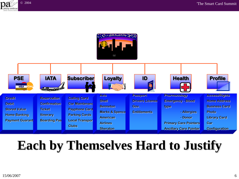



### **Each by Themselves Hard to Justify**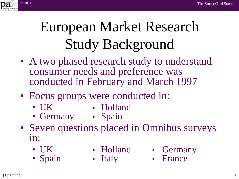

# European Market Research Study Background

- A two phased research study to understand consumer needs and preference was conducted in February and March 1997
- Focus groups were conducted in:
	- UK Holland
- - Germany Spain
- 
- Seven questions placed in Omnibus surveys in:
	-
- 
- UK Holland Germany
- 
- Spain Italy France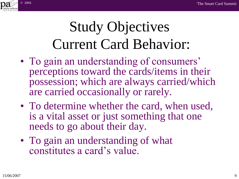

# Study Objectives Current Card Behavior:

- To gain an understanding of consumers' perceptions toward the cards/items in their possession; which are always carried/which are carried occasionally or rarely.
- To determine whether the card, when used, is a vital asset or just something that one needs to go about their day.
- To gain an understanding of what constitutes a card"s value.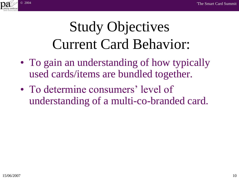

## Study Objectives Current Card Behavior:

- To gain an understanding of how typically used cards/items are bundled together.
- To determine consumers' level of understanding of a multi-co-branded card.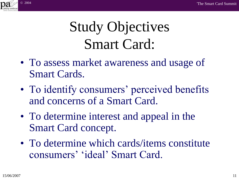

## Study Objectives Smart Card:

- To assess market awareness and usage of Smart Cards.
- To identify consumers' perceived benefits and concerns of a Smart Card.
- To determine interest and appeal in the Smart Card concept.
- To determine which cards/items constitute consumers" "ideal" Smart Card.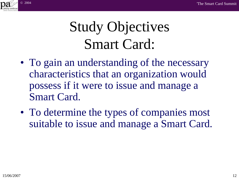

## Study Objectives Smart Card:

- To gain an understanding of the necessary characteristics that an organization would possess if it were to issue and manage a Smart Card.
- To determine the types of companies most suitable to issue and manage a Smart Card.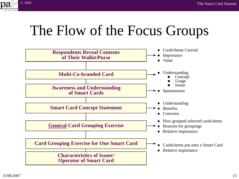

## The Flow of the Focus Groups

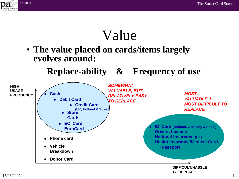

#### Value

• **The value placed on cards/items largely evolves around:**

**Replace-ability & Frequency of use**

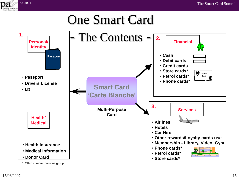

#### One Smart Card

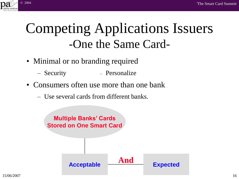

### Competing Applications Issuers -One the Same Card-

- Minimal or no branding required
	- Security Personalize
- Consumers often use more than one bank
	- Use several cards from different banks.

**Multiple Banks' Cards Stored on One Smart Card**

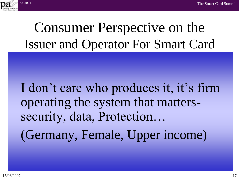

### Consumer Perspective on the Issuer and Operator For Smart Card

I don't care who produces it, it's firm data l **'Carte Blanche'**  $\mathsf{M}$ **Important Governmen t if I.D. items**  operating the system that matterssecurity, data, Protection… (Germany, Female, Upper income)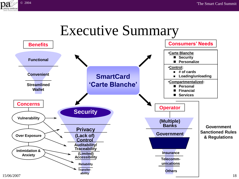

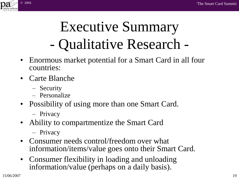

# Executive Summary - Qualitative Research -

- Enormous market potential for a Smart Card in all four countries:
- Carte Blanche
	- Security
	- Personalize
- Possibility of using more than one Smart Card.
	- Privacy
- Ability to compartmentize the Smart Card
	- Privacy
- Consumer needs control/freedom over what information/items/value goes onto their Smart Card.
- Consumer flexibility in loading and unloading information/value (perhaps on a daily basis).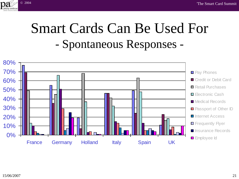

#### Smart Cards Can Be Used For - Spontaneous Responses -